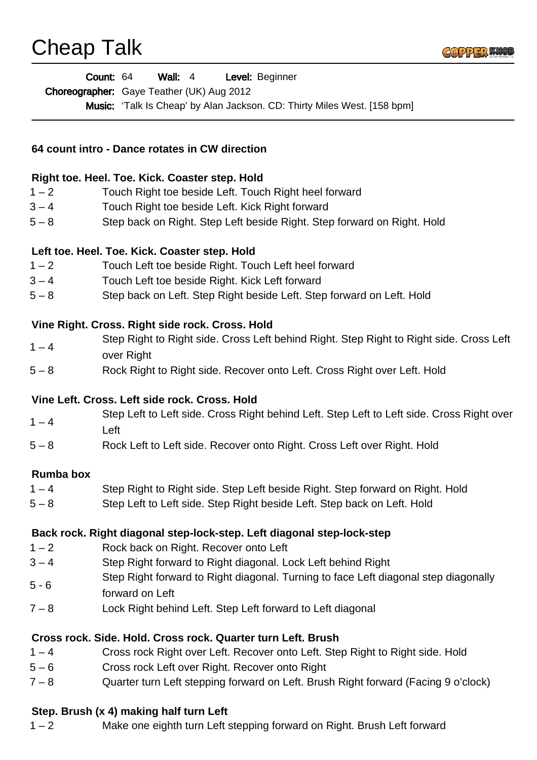## Cheap Talk



|                                                | <b>Count: 64 Wall: 4</b><br>Level: Beginner<br>Choreographer: Gaye Teather (UK) Aug 2012  |
|------------------------------------------------|-------------------------------------------------------------------------------------------|
|                                                | Music: 'Talk Is Cheap' by Alan Jackson. CD: Thirty Miles West. [158 bpm]                  |
|                                                |                                                                                           |
| 64 count intro - Dance rotates in CW direction |                                                                                           |
|                                                | Right toe. Heel. Toe. Kick. Coaster step. Hold                                            |
| $1 - 2$                                        | Touch Right toe beside Left. Touch Right heel forward                                     |
| $3 - 4$                                        | Touch Right toe beside Left. Kick Right forward                                           |
| $5 - 8$                                        | Step back on Right. Step Left beside Right. Step forward on Right. Hold                   |
|                                                | Left toe. Heel. Toe. Kick. Coaster step. Hold                                             |
| $1 - 2$                                        | Touch Left toe beside Right. Touch Left heel forward                                      |
| $3 - 4$                                        | Touch Left toe beside Right. Kick Left forward                                            |
| $5 - 8$                                        | Step back on Left. Step Right beside Left. Step forward on Left. Hold                     |
|                                                | Vine Right. Cross. Right side rock. Cross. Hold                                           |
| $1 - 4$                                        | Step Right to Right side. Cross Left behind Right. Step Right to Right side. Cross Left   |
| $5 - 8$                                        | over Right<br>Rock Right to Right side. Recover onto Left. Cross Right over Left. Hold    |
|                                                | Vine Left. Cross. Left side rock. Cross. Hold                                             |
|                                                | Step Left to Left side. Cross Right behind Left. Step Left to Left side. Cross Right over |
| $1 - 4$                                        | Left                                                                                      |
| $5 - 8$                                        | Rock Left to Left side. Recover onto Right. Cross Left over Right. Hold                   |
| <b>Rumba box</b>                               |                                                                                           |
| $1 - 4$                                        | Step Right to Right side. Step Left beside Right. Step forward on Right. Hold             |
| $5 - 8$                                        | Step Left to Left side. Step Right beside Left. Step back on Left. Hold                   |
|                                                | Back rock. Right diagonal step-lock-step. Left diagonal step-lock-step                    |
| $1 - 2$                                        | Rock back on Right. Recover onto Left                                                     |
| $3 - 4$                                        | Step Right forward to Right diagonal. Lock Left behind Right                              |
| $5 - 6$                                        | Step Right forward to Right diagonal. Turning to face Left diagonal step diagonally       |
|                                                | forward on Left                                                                           |
| $7 - 8$                                        | Lock Right behind Left. Step Left forward to Left diagonal                                |
|                                                | Cross rock. Side. Hold. Cross rock. Quarter turn Left. Brush                              |
| $1 - 4$                                        | Cross rock Right over Left. Recover onto Left. Step Right to Right side. Hold             |
| $5 - 6$                                        | Cross rock Left over Right. Recover onto Right                                            |
| $7 - 8$                                        | Quarter turn Left stepping forward on Left. Brush Right forward (Facing 9 o'clock)        |

## **Step. Brush (x 4) making half turn Left**

1 – 2 Make one eighth turn Left stepping forward on Right. Brush Left forward